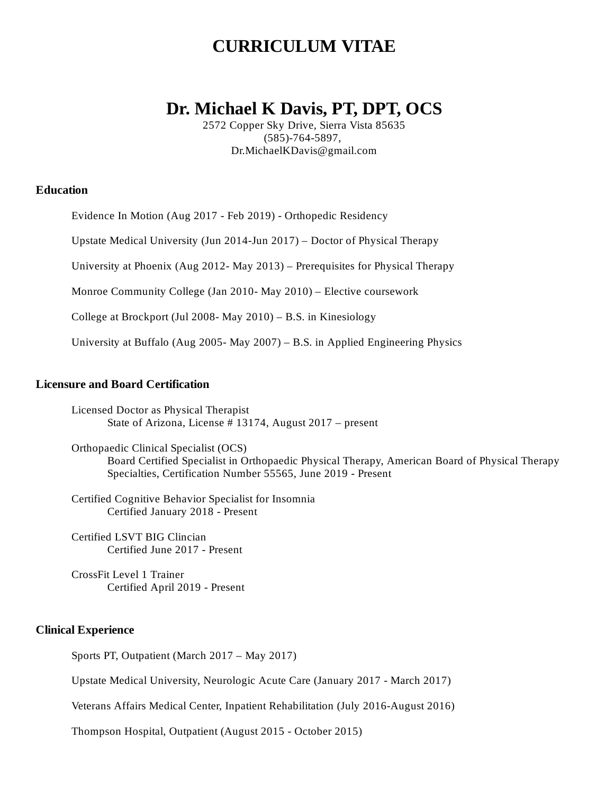# **CURRICULUM VITAE**

# **Dr. Michael K Davis, PT, DPT, OCS**

2572 Copper Sky Drive, Sierra Vista 85635 (585)-764-5897, Dr.MichaelKDavis@gmail.com

# **Education**

Evidence In Motion (Aug 2017 - Feb 2019) - Orthopedic Residency

Upstate Medical University (Jun 2014-Jun 2017) – Doctor of Physical Therapy

University at Phoenix (Aug 2012- May 2013) – Prerequisites for Physical Therapy

Monroe Community College (Jan 2010- May 2010) – Elective coursework

College at Brockport (Jul 2008- May 2010) – B.S. in Kinesiology

University at Buffalo (Aug 2005- May 2007) – B.S. in Applied Engineering Physics

## **Licensure and Board Certification**

Licensed Doctor as Physical Therapist State of Arizona, License # 13174, August 2017 – present

Orthopaedic Clinical Specialist (OCS) Board Certified Specialist in Orthopaedic Physical Therapy, American Board of Physical Therapy Specialties, Certification Number 55565, June 2019 - Present

Certified Cognitive Behavior Specialist for Insomnia Certified January 2018 - Present

Certified LSVT BIG Clincian Certified June 2017 - Present

CrossFit Level 1 Trainer Certified April 2019 - Present

## **Clinical Experience**

Sports PT, Outpatient (March 2017 – May 2017)

Upstate Medical University, Neurologic Acute Care (January 2017 - March 2017)

Veterans Affairs Medical Center, Inpatient Rehabilitation (July 2016-August 2016)

Thompson Hospital, Outpatient (August 2015 - October 2015)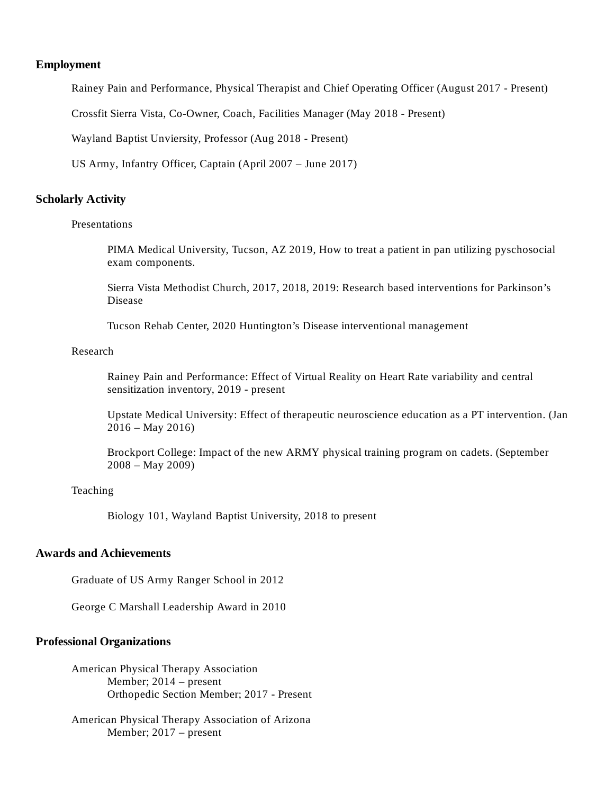## **Employment**

Rainey Pain and Performance, Physical Therapist and Chief Operating Officer (August 2017 - Present)

Crossfit Sierra Vista, Co-Owner, Coach, Facilities Manager (May 2018 - Present)

Wayland Baptist Unviersity, Professor (Aug 2018 - Present)

US Army, Infantry Officer, Captain (April 2007 – June 2017)

## **Scholarly Activity**

#### Presentations

PIMA Medical University, Tucson, AZ 2019, How to treat a patient in pan utilizing pyschosocial exam components.

Sierra Vista Methodist Church, 2017, 2018, 2019: Research based interventions for Parkinson's Disease

Tucson Rehab Center, 2020 Huntington's Disease interventional management

#### Research

Rainey Pain and Performance: Effect of Virtual Reality on Heart Rate variability and central sensitization inventory, 2019 - present

Upstate Medical University: Effect of therapeutic neuroscience education as a PT intervention. (Jan  $2016 -$ May 2016)

Brockport College: Impact of the new ARMY physical training program on cadets. (September 2008 – May 2009)

# Teaching

Biology 101, Wayland Baptist University, 2018 to present

# **Awards and Achievements**

Graduate of US Army Ranger School in 2012

George C Marshall Leadership Award in 2010

#### **Professional Organizations**

American Physical Therapy Association Member; 2014 – present Orthopedic Section Member; 2017 - Present

American Physical Therapy Association of Arizona Member; 2017 – present